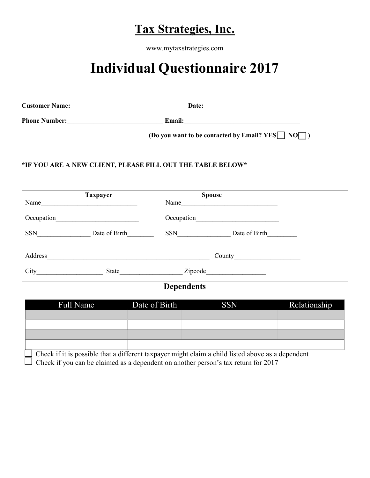## Tax Strategies, Inc.

www.mytaxstrategies.com

## Individual Questionnaire 2017

| <b>Customer Name:</b> | Date:  |
|-----------------------|--------|
| <b>Phone Number:</b>  | Email: |

(Do you want to be contacted by Email?  $YES \Box NO \Box$ )

## \*IF YOU ARE A NEW CLIENT, PLEASE FILL OUT THE TABLE BELOW\*

| <b>Taxpayer</b>                                                                                                                                                                         |                   | <b>Spouse</b>     |              |
|-----------------------------------------------------------------------------------------------------------------------------------------------------------------------------------------|-------------------|-------------------|--------------|
| Name                                                                                                                                                                                    |                   |                   |              |
|                                                                                                                                                                                         |                   |                   |              |
|                                                                                                                                                                                         |                   | SSN Date of Birth |              |
|                                                                                                                                                                                         |                   |                   |              |
|                                                                                                                                                                                         |                   |                   |              |
|                                                                                                                                                                                         |                   |                   |              |
|                                                                                                                                                                                         | <b>Dependents</b> |                   |              |
| <b>Full Name</b>                                                                                                                                                                        | Date of Birth     | <b>SSN</b>        | Relationship |
|                                                                                                                                                                                         |                   |                   |              |
|                                                                                                                                                                                         |                   |                   |              |
|                                                                                                                                                                                         |                   |                   |              |
| Check if it is possible that a different taxpayer might claim a child listed above as a dependent<br>Check if you can be claimed as a dependent on another person's tax return for 2017 |                   |                   |              |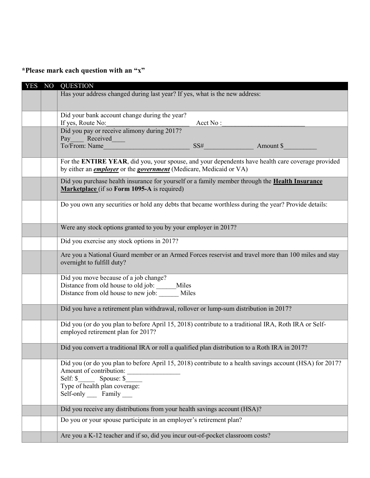\*Please mark each question with an "x"

| <b>YES</b> | NO | <b>QUESTION</b>                                                                                                                                                                                                    |
|------------|----|--------------------------------------------------------------------------------------------------------------------------------------------------------------------------------------------------------------------|
|            |    | Has your address changed during last year? If yes, what is the new address:                                                                                                                                        |
|            |    |                                                                                                                                                                                                                    |
|            |    | Did your bank account change during the year?                                                                                                                                                                      |
|            |    | If yes, Route No:<br>Acct No:                                                                                                                                                                                      |
|            |    | Did you pay or receive alimony during 2017?<br>Pay Received                                                                                                                                                        |
|            |    | To/From: Name<br>SS#<br>Amount \$                                                                                                                                                                                  |
|            |    | For the ENTIRE YEAR, did you, your spouse, and your dependents have health care coverage provided<br>by either an <i>employer</i> or the <i>government</i> (Medicare, Medicaid or VA)                              |
|            |    |                                                                                                                                                                                                                    |
|            |    | Did you purchase health insurance for yourself or a family member through the <b>Health Insurance</b><br>Marketplace (if so Form 1095-A is required)                                                               |
|            |    | Do you own any securities or hold any debts that became worthless during the year? Provide details:                                                                                                                |
|            |    | Were any stock options granted to you by your employer in 2017?                                                                                                                                                    |
|            |    | Did you exercise any stock options in 2017?                                                                                                                                                                        |
|            |    | Are you a National Guard member or an Armed Forces reservist and travel more than 100 miles and stay<br>overnight to fulfill duty?                                                                                 |
|            |    | Did you move because of a job change?<br>Distance from old house to old job: Miles<br>Distance from old house to new job:<br>Miles                                                                                 |
|            |    | Did you have a retirement plan withdrawal, rollover or lump-sum distribution in 2017?                                                                                                                              |
|            |    | Did you (or do you plan to before April 15, 2018) contribute to a traditional IRA, Roth IRA or Self-<br>employed retirement plan for 2017?                                                                         |
|            |    | Did you convert a traditional IRA or roll a qualified plan distribution to a Roth IRA in 2017?                                                                                                                     |
|            |    | Did you (or do you plan to before April 15, 2018) contribute to a health savings account (HSA) for 2017?<br>Amount of contribution:<br>Spouse: \$<br>Self: \$<br>Type of health plan coverage:<br>Self-only Family |
|            |    | Did you receive any distributions from your health savings account (HSA)?                                                                                                                                          |
|            |    | Do you or your spouse participate in an employer's retirement plan?                                                                                                                                                |
|            |    | Are you a K-12 teacher and if so, did you incur out-of-pocket classroom costs?                                                                                                                                     |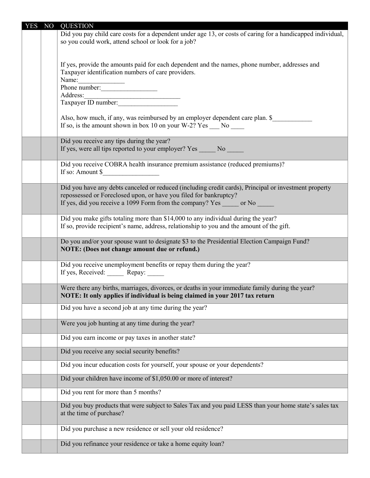| <b>YES</b> | NO | <b>QUESTION</b>                                                                                                                                                                                                                               |
|------------|----|-----------------------------------------------------------------------------------------------------------------------------------------------------------------------------------------------------------------------------------------------|
|            |    | Did you pay child care costs for a dependent under age 13, or costs of caring for a handicapped individual,<br>so you could work, attend school or look for a job?                                                                            |
|            |    | If yes, provide the amounts paid for each dependent and the names, phone number, addresses and<br>Taxpayer identification numbers of care providers.<br>Name:<br>Phone number:                                                                |
|            |    |                                                                                                                                                                                                                                               |
|            |    | Also, how much, if any, was reimbursed by an employer dependent care plan. \$<br>If so, is the amount shown in box 10 on your W-2? Yes $\_\_$ No $\_\_$                                                                                       |
|            |    | Did you receive any tips during the year?<br>If yes, were all tips reported to your employer? Yes No                                                                                                                                          |
|            |    | Did you receive COBRA health insurance premium assistance (reduced premiums)?<br>If so: Amount $\$                                                                                                                                            |
|            |    | Did you have any debts canceled or reduced (including credit cards), Principal or investment property<br>repossessed or Foreclosed upon, or have you filed for bankruptcy?<br>If yes, did you receive a 1099 Form from the company? Yes or No |
|            |    | Did you make gifts totaling more than \$14,000 to any individual during the year?<br>If so, provide recipient's name, address, relationship to you and the amount of the gift.                                                                |
|            |    | Do you and/or your spouse want to designate \$3 to the Presidential Election Campaign Fund?<br>NOTE: (Does not change amount due or refund.)                                                                                                  |
|            |    | Did you receive unemployment benefits or repay them during the year?<br>If yes, Received: Repay:                                                                                                                                              |
|            |    | Were there any births, marriages, divorces, or deaths in your immediate family during the year?<br>NOTE: It only applies if individual is being claimed in your 2017 tax return                                                               |
|            |    | Did you have a second job at any time during the year?                                                                                                                                                                                        |
|            |    | Were you job hunting at any time during the year?                                                                                                                                                                                             |
|            |    | Did you earn income or pay taxes in another state?                                                                                                                                                                                            |
|            |    | Did you receive any social security benefits?                                                                                                                                                                                                 |
|            |    | Did you incur education costs for yourself, your spouse or your dependents?                                                                                                                                                                   |
|            |    | Did your children have income of \$1,050.00 or more of interest?                                                                                                                                                                              |
|            |    | Did you rent for more than 5 months?                                                                                                                                                                                                          |
|            |    | Did you buy products that were subject to Sales Tax and you paid LESS than your home state's sales tax<br>at the time of purchase?                                                                                                            |
|            |    | Did you purchase a new residence or sell your old residence?                                                                                                                                                                                  |
|            |    | Did you refinance your residence or take a home equity loan?                                                                                                                                                                                  |